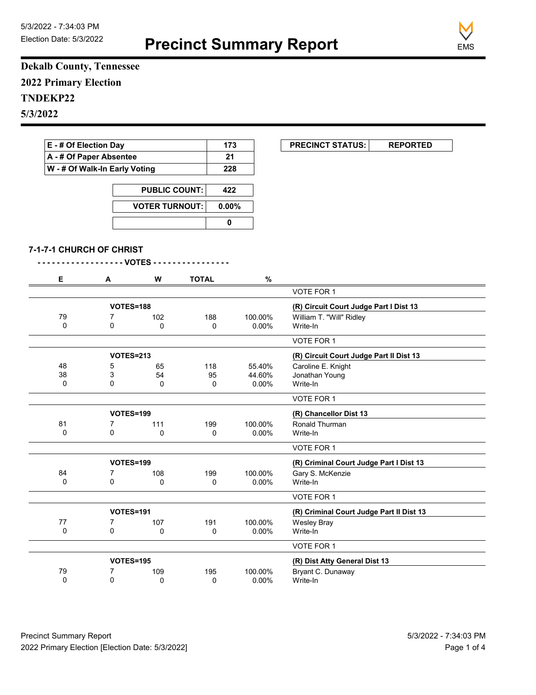**Precinct Summary Report**



**Dekalb County, Tennessee 2022 Primary Election TNDEKP22 5/3/2022**

| E - # Of Election Day                                    |                          |                       | 173          | <b>PRECINCT STATUS:</b><br><b>REPORTED</b> |                                          |
|----------------------------------------------------------|--------------------------|-----------------------|--------------|--------------------------------------------|------------------------------------------|
| A - # Of Paper Absentee<br>W - # Of Walk-In Early Voting |                          |                       |              | 21                                         |                                          |
|                                                          |                          |                       |              | 228                                        |                                          |
|                                                          |                          | <b>PUBLIC COUNT:</b>  | 422          |                                            |                                          |
|                                                          |                          | <b>VOTER TURNOUT:</b> |              | $0.00\%$                                   |                                          |
|                                                          |                          |                       | $\pmb{0}$    |                                            |                                          |
|                                                          |                          |                       |              |                                            |                                          |
|                                                          | 7-1-7-1 CHURCH OF CHRIST | VOTES - - - - - - -   |              |                                            |                                          |
| Е                                                        | Α                        | W                     | <b>TOTAL</b> | $\%$                                       |                                          |
|                                                          |                          |                       |              |                                            | VOTE FOR 1                               |
|                                                          |                          | <b>VOTES=188</b>      |              |                                            | (R) Circuit Court Judge Part I Dist 13   |
| 79                                                       | 7                        | 102                   | 188          | 100.00%                                    | William T. "Will" Ridley                 |
| $\Omega$                                                 | $\Omega$                 | 0                     | 0            | 0.00%                                      | Write-In                                 |
|                                                          |                          |                       |              |                                            | VOTE FOR 1                               |
|                                                          |                          | <b>VOTES=213</b>      |              |                                            | (R) Circuit Court Judge Part II Dist 13  |
| 48                                                       | 5                        | 65                    | 118          | 55.40%                                     | Caroline E. Knight                       |
| 38                                                       | 3                        | 54                    | 95           | 44.60%                                     | Jonathan Young                           |
| 0                                                        | $\Omega$                 | $\mathbf{0}$          | 0            | $0.00\%$                                   | Write-In                                 |
|                                                          |                          |                       |              |                                            | VOTE FOR 1                               |
|                                                          |                          | <b>VOTES=199</b>      |              |                                            | (R) Chancellor Dist 13                   |
| 81                                                       | $\overline{7}$           | 111                   | 199          | 100.00%                                    | Ronald Thurman                           |
| $\mathbf 0$                                              | 0                        | 0                     | 0            | $0.00\%$                                   | Write-In                                 |
|                                                          |                          |                       |              |                                            | VOTE FOR 1                               |
|                                                          |                          | VOTES=199             |              |                                            | (R) Criminal Court Judge Part I Dist 13  |
| 84                                                       | 7                        | 108                   | 199          | 100.00%                                    | Gary S. McKenzie                         |
| $\Omega$                                                 | $\overline{0}$           | $\mathbf{0}$          | 0            | $0.00\%$                                   | Write-In                                 |
|                                                          |                          |                       |              |                                            | VOTE FOR 1                               |
|                                                          |                          | VOTES=191             |              |                                            | (R) Criminal Court Judge Part II Dist 13 |
| 77                                                       | $\overline{7}$           | 107                   | 191          | 100.00%                                    | <b>Wesley Bray</b>                       |
| $\Omega$                                                 | $\Omega$                 | $\mathbf{0}$          | 0            | 0.00%                                      | Write-In                                 |
|                                                          |                          |                       |              |                                            |                                          |

|    |           |     |     |         | VUIE FUR 1                    |  |
|----|-----------|-----|-----|---------|-------------------------------|--|
|    | VOTES=195 |     |     |         | (R) Dist Atty General Dist 13 |  |
| 79 |           | 109 | 195 | 100.00% | Bryant C. Dunaway             |  |
|    |           |     |     | 0.00%   | Write-In                      |  |
|    |           |     |     |         |                               |  |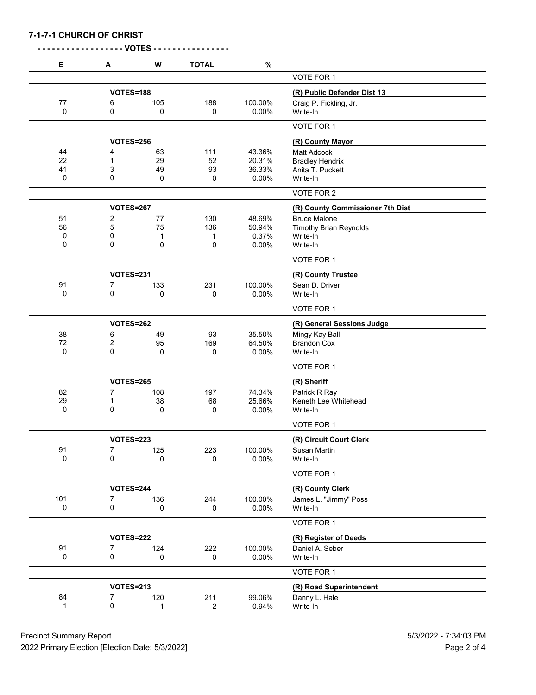|  |  | 7-1-7-1 CHURCH OF CHRIST |
|--|--|--------------------------|
|--|--|--------------------------|

| Е   | Α                | W   | <b>TOTAL</b> | $\%$    |                                  |
|-----|------------------|-----|--------------|---------|----------------------------------|
|     |                  |     |              |         | VOTE FOR 1                       |
|     | <b>VOTES=188</b> |     |              |         | (R) Public Defender Dist 13      |
| 77  | 6                | 105 | 188          | 100.00% | Craig P. Fickling, Jr.           |
| 0   | 0                | 0   | 0            | 0.00%   | Write-In                         |
|     |                  |     |              |         | VOTE FOR 1                       |
|     | <b>VOTES=256</b> |     |              |         | (R) County Mayor                 |
| 44  | 4                | 63  | 111          | 43.36%  | <b>Matt Adcock</b>               |
| 22  | 1                | 29  | 52           | 20.31%  | <b>Bradley Hendrix</b>           |
| 41  | 3                | 49  | 93           | 36.33%  | Anita T. Puckett                 |
| 0   | 0                | 0   | 0            | 0.00%   | Write-In                         |
|     |                  |     |              |         | VOTE FOR 2                       |
|     | <b>VOTES=267</b> |     |              |         | (R) County Commissioner 7th Dist |
| 51  | 2                | 77  | 130          | 48.69%  | <b>Bruce Malone</b>              |
| 56  | 5                | 75  | 136          | 50.94%  | <b>Timothy Brian Reynolds</b>    |
| 0   | 0                | 1   | 1            | 0.37%   | Write-In                         |
| 0   | 0                | 0   | 0            | 0.00%   | Write-In                         |
|     |                  |     |              |         | VOTE FOR 1                       |
|     | <b>VOTES=231</b> |     |              |         | (R) County Trustee               |
| 91  | 7                | 133 | 231          | 100.00% | Sean D. Driver                   |
| 0   | 0                | 0   | 0            | 0.00%   | Write-In                         |
|     |                  |     |              |         | VOTE FOR 1                       |
|     | <b>VOTES=262</b> |     |              |         | (R) General Sessions Judge       |
| 38  | 6                | 49  | 93           | 35.50%  | Mingy Kay Ball                   |
| 72  | 2                | 95  | 169          | 64.50%  | <b>Brandon Cox</b>               |
| 0   | 0                | 0   | 0            | 0.00%   | Write-In                         |
|     |                  |     |              |         | VOTE FOR 1                       |
|     | <b>VOTES=265</b> |     |              |         | (R) Sheriff                      |
| 82  | 7                | 108 | 197          | 74.34%  | Patrick R Ray                    |
| 29  | 1                | 38  | 68           | 25.66%  | Keneth Lee Whitehead             |
| 0   | 0                | 0   | 0            | 0.00%   | Write-In                         |
|     |                  |     |              |         | VOTE FOR 1                       |
|     | <b>VOTES=223</b> |     |              |         | (R) Circuit Court Clerk          |
| 91  | 7                | 125 | 223          | 100.00% | <b>Susan Martin</b>              |
| 0   | 0                | 0   | 0            | 0.00%   | Write-In                         |
|     |                  |     |              |         | VOTE FOR 1                       |
|     | <b>VOTES=244</b> |     |              |         | (R) County Clerk                 |
| 101 | 7                | 136 | 244          | 100.00% | James L. "Jimmy" Poss            |
| 0   | 0                | 0   | 0            | 0.00%   | Write-In                         |
|     |                  |     |              |         | VOTE FOR 1                       |
|     | <b>VOTES=222</b> |     |              |         | (R) Register of Deeds            |
| 91  | 7                | 124 | 222          | 100.00% | Daniel A. Seber                  |
| 0   | 0                | 0   | 0            | 0.00%   | Write-In                         |
|     |                  |     |              |         | VOTE FOR 1                       |
|     |                  |     |              |         |                                  |
|     | <b>VOTES=213</b> |     |              |         | (R) Road Superintendent          |
| 84  | 7                | 120 | 211          | 99.06%  | Danny L. Hale                    |
| 1   | 0                | 1   | 2            | 0.94%   | Write-In                         |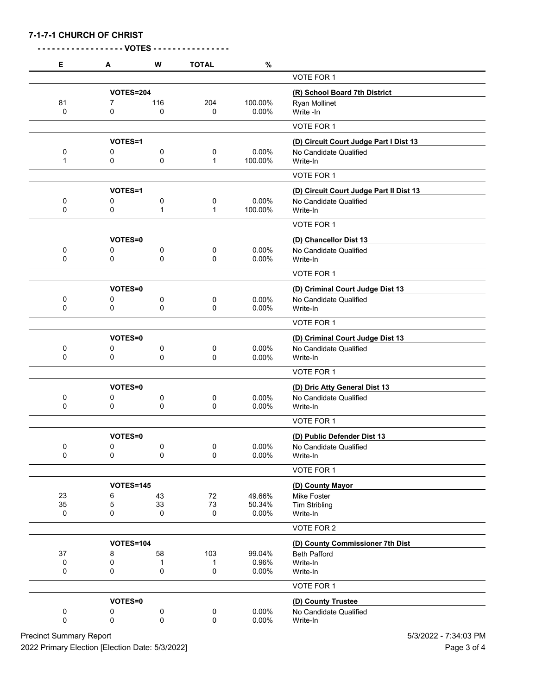|  |  | 7-1-7-1 CHURCH OF CHRIST |
|--|--|--------------------------|
|--|--|--------------------------|

| Е                | A                | W              | <b>TOTAL</b> | $\%$    |                                         |
|------------------|------------------|----------------|--------------|---------|-----------------------------------------|
|                  |                  |                |              |         | VOTE FOR 1                              |
| <b>VOTES=204</b> |                  |                |              |         | (R) School Board 7th District           |
| 81               | 7                | 116            | 204          | 100.00% | Ryan Mollinet                           |
| 0                | 0                | 0              | 0            | 0.00%   | Write -In                               |
|                  |                  |                |              |         | VOTE FOR 1                              |
|                  | VOTES=1          |                |              |         | (D) Circuit Court Judge Part I Dist 13  |
| 0                | 0                | 0              | 0            | 0.00%   | No Candidate Qualified                  |
| 1                | 0                | 0              | 1            | 100.00% | Write-In                                |
|                  |                  |                |              |         | VOTE FOR 1                              |
|                  | VOTES=1          |                |              |         | (D) Circuit Court Judge Part II Dist 13 |
| 0                | 0                | 0              | 0            | 0.00%   | No Candidate Qualified                  |
| 0                | 0                | 1              | 1            | 100.00% | Write-In                                |
|                  |                  |                |              |         | VOTE FOR 1                              |
|                  | VOTES=0          |                |              |         | (D) Chancellor Dist 13                  |
| 0                | 0                | 0              | 0            | 0.00%   | No Candidate Qualified                  |
| 0                | 0                | 0              | 0            | 0.00%   | Write-In                                |
|                  |                  |                |              |         | VOTE FOR 1                              |
|                  | VOTES=0          |                |              |         | (D) Criminal Court Judge Dist 13        |
| 0                | 0                | 0              | 0            | 0.00%   | No Candidate Qualified                  |
| 0                | 0                | 0              | 0            | 0.00%   | Write-In                                |
|                  |                  |                |              |         | VOTE FOR 1                              |
|                  | VOTES=0          |                |              |         | (D) Criminal Court Judge Dist 13        |
| 0                | 0                | 0              | 0            | 0.00%   | No Candidate Qualified                  |
| 0                | 0                | 0              | 0            | 0.00%   | Write-In                                |
|                  |                  |                |              |         | VOTE FOR 1                              |
|                  | <b>VOTES=0</b>   |                |              |         | (D) Dric Atty General Dist 13           |
| 0                | 0                | 0              | 0            | 0.00%   | No Candidate Qualified                  |
| 0                | 0                | 0              | 0            | 0.00%   | Write-In                                |
|                  |                  |                |              |         | VOTE FOR 1                              |
|                  | VOTES=0          |                |              |         | (D) Public Defender Dist 13             |
| $\pmb{0}$        | $\pmb{0}$        | 0              | 0            | 0.00%   | No Candidate Qualified                  |
| 0                | 0                | 0              | 0            | 0.00%   | Write-In                                |
|                  |                  |                |              |         | VOTE FOR 1                              |
|                  | <b>VOTES=145</b> |                |              |         | (D) County Mayor                        |
| 23               | 6                | 43             | $72\,$       | 49.66%  | <b>Mike Foster</b>                      |
| 35               | 5                | 33             | $73\,$       | 50.34%  | <b>Tim Stribling</b>                    |
| 0                | 0                | 0              | 0            | 0.00%   | Write-In                                |
|                  |                  |                |              |         | VOTE FOR 2                              |
|                  | <b>VOTES=104</b> |                |              |         | (D) County Commissioner 7th Dist        |
| 37               | 8                | 58             | 103          | 99.04%  | <b>Beth Pafford</b>                     |
| 0                | 0<br>0           | 1              | 1            | 0.96%   | Write-In                                |
| 0                |                  | 0              | 0            | 0.00%   | Write-In                                |
|                  |                  |                |              |         | VOTE FOR 1                              |
|                  | VOTES=0          |                |              |         | (D) County Trustee                      |
| 0<br>$\pmb{0}$   | 0<br>0           | 0<br>$\pmb{0}$ | 0            | 0.00%   | No Candidate Qualified                  |
|                  |                  |                | 0            | 0.00%   | Write-In                                |